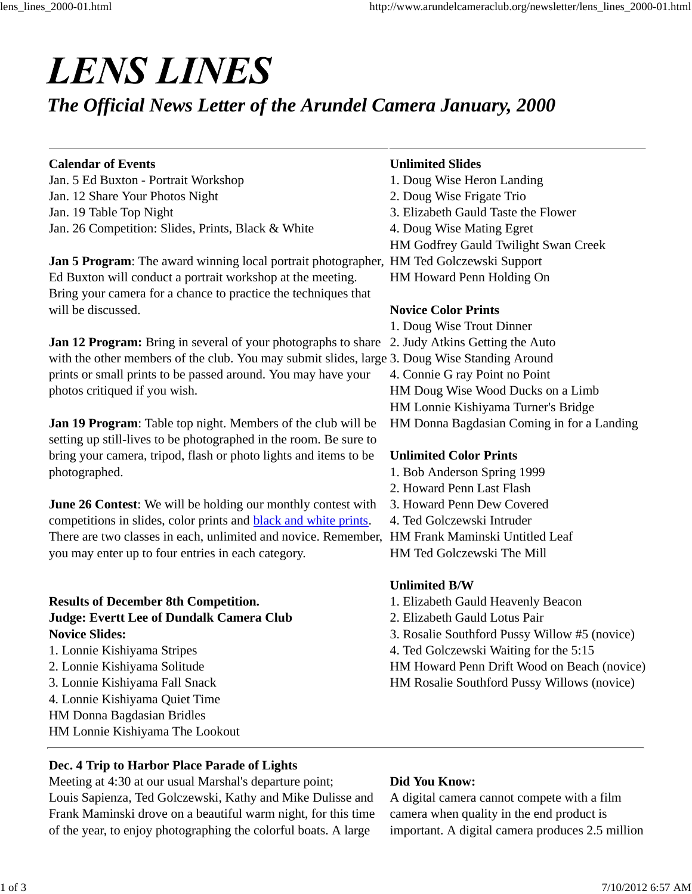# **LENS LINES**

# *The Official News Letter of the Arundel Camera January, 2000*

#### **Calendar of Events**

Jan. 5 Ed Buxton - Portrait Workshop Jan. 12 Share Your Photos Night Jan. 19 Table Top Night Jan. 26 Competition: Slides, Prints, Black & White

**Jan 5 Program**: The award winning local portrait photographer, HM Ted Golczewski Support Ed Buxton will conduct a portrait workshop at the meeting. Bring your camera for a chance to practice the techniques that will be discussed.

**Jan 12 Program:** Bring in several of your photographs to share with the other members of the club. You may submit slides, large 3. Doug Wise Standing Around prints or small prints to be passed around. You may have your photos critiqued if you wish.

**Jan 19 Program**: Table top night. Members of the club will be setting up still-lives to be photographed in the room. Be sure to bring your camera, tripod, flash or photo lights and items to be photographed.

**June 26 Contest:** We will be holding our monthly contest with competitions in slides, color prints and **black** and white prints. There are two classes in each, unlimited and novice. Remember, HM Frank Maminski Untitled Leaf you may enter up to four entries in each category.

# **Results of December 8th Competition. Judge: Evertt Lee of Dundalk Camera Club Novice Slides:**

- 1. Lonnie Kishiyama Stripes
- 2. Lonnie Kishiyama Solitude
- 3. Lonnie Kishiyama Fall Snack
- 4. Lonnie Kishiyama Quiet Time
- HM Donna Bagdasian Bridles

HM Lonnie Kishiyama The Lookout

# **Dec. 4 Trip to Harbor Place Parade of Lights**

Meeting at 4:30 at our usual Marshal's departure point; Louis Sapienza, Ted Golczewski, Kathy and Mike Dulisse and Frank Maminski drove on a beautiful warm night, for this time of the year, to enjoy photographing the colorful boats. A large

# **Unlimited Slides**

- 1. Doug Wise Heron Landing
- 2. Doug Wise Frigate Trio
- 3. Elizabeth Gauld Taste the Flower
- 4. Doug Wise Mating Egret
- HM Godfrey Gauld Twilight Swan Creek
- 
- HM Howard Penn Holding On

# **Novice Color Prints**

1. Doug Wise Trout Dinner 2. Judy Atkins Getting the Auto 4. Connie G ray Point no Point HM Doug Wise Wood Ducks on a Limb HM Lonnie Kishiyama Turner's Bridge HM Donna Bagdasian Coming in for a Landing

# **Unlimited Color Prints**

- 1. Bob Anderson Spring 1999
- 2. Howard Penn Last Flash
- 3. Howard Penn Dew Covered
- 4. Ted Golczewski Intruder
- 
- HM Ted Golczewski The Mill

# **Unlimited B/W**

- 1. Elizabeth Gauld Heavenly Beacon
- 2. Elizabeth Gauld Lotus Pair
- 3. Rosalie Southford Pussy Willow #5 (novice)
- 4. Ted Golczewski Waiting for the 5:15
- HM Howard Penn Drift Wood on Beach (novice)
- HM Rosalie Southford Pussy Willows (novice)

# **Did You Know:**

A digital camera cannot compete with a film camera when quality in the end product is important. A digital camera produces 2.5 million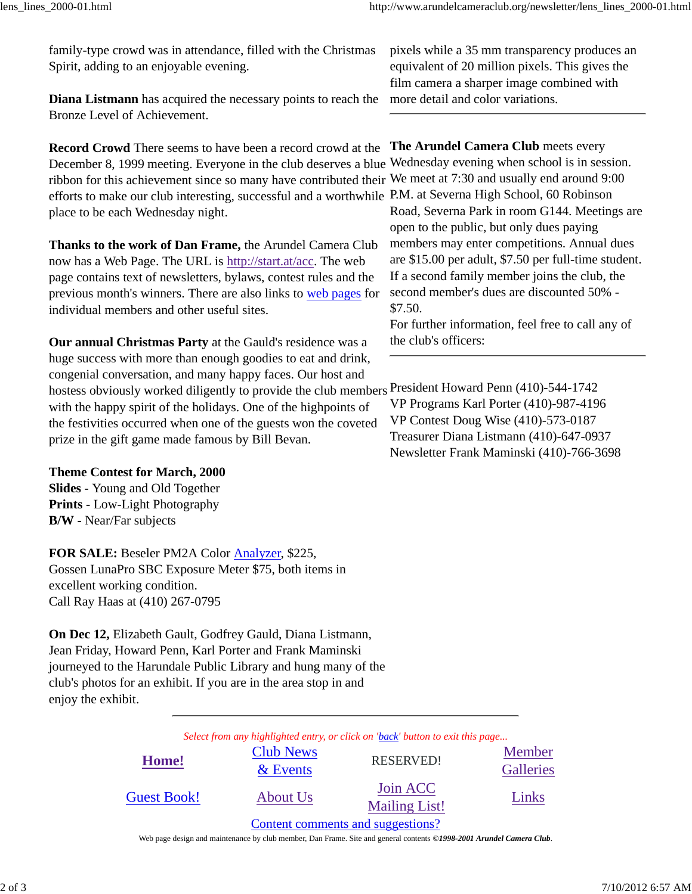family-type crowd was in attendance, filled with the Christmas Spirit, adding to an enjoyable evening.

**Diana Listmann** has acquired the necessary points to reach the Bronze Level of Achievement.

**Record Crowd** There seems to have been a record crowd at the **The Arundel Camera Club** meets every December 8, 1999 meeting. Everyone in the club deserves a blue ribbon for this achievement since so many have contributed their efforts to make our club interesting, successful and a worthwhile P.M. at Severna High School, 60 Robinson place to be each Wednesday night.

**Thanks to the work of Dan Frame,** the Arundel Camera Club now has a Web Page. The URL is http://start.at/acc. The web page contains text of newsletters, bylaws, contest rules and the previous month's winners. There are also links to web pages for individual members and other useful sites.

**Our annual Christmas Party** at the Gauld's residence was a huge success with more than enough goodies to eat and drink, congenial conversation, and many happy faces. Our host and hostess obviously worked diligently to provide the club members President Howard Penn (410)-544-1742 with the happy spirit of the holidays. One of the highpoints of the festivities occurred when one of the guests won the coveted prize in the gift game made famous by Bill Bevan.

**Theme Contest for March, 2000 Slides -** Young and Old Together **Prints -** Low-Light Photography **B/W -** Near/Far subjects

**FOR SALE:** Beseler PM2A Color Analyzer, \$225, Gossen LunaPro SBC Exposure Meter \$75, both items in excellent working condition. Call Ray Haas at (410) 267-0795

**On Dec 12,** Elizabeth Gault, Godfrey Gauld, Diana Listmann, Jean Friday, Howard Penn, Karl Porter and Frank Maminski journeyed to the Harundale Public Library and hung many of the club's photos for an exhibit. If you are in the area stop in and enjoy the exhibit.

*Select from any highlighted entry, or click on 'back' button to exit this page...*

| Home!              | <b>Club News</b><br>$&$ Events | <b>RESERVED!</b>                  | Member<br>Galleries |
|--------------------|--------------------------------|-----------------------------------|---------------------|
| <b>Guest Book!</b> | About Us                       | Join ACC<br><b>Mailing List!</b>  | Links               |
|                    |                                | Content comments and suggestions? |                     |

Web page design and maintenance by club member, Dan Frame. Site and general contents *©1998-2001 Arundel Camera Club*.

pixels while a 35 mm transparency produces an equivalent of 20 million pixels. This gives the film camera a sharper image combined with more detail and color variations.

Wednesday evening when school is in session. We meet at 7:30 and usually end around 9:00 Road, Severna Park in room G144. Meetings are open to the public, but only dues paying members may enter competitions. Annual dues are \$15.00 per adult, \$7.50 per full-time student.

If a second family member joins the club, the second member's dues are discounted 50% - \$7.50.

For further information, feel free to call any of the club's officers:

VP Programs Karl Porter (410)-987-4196 VP Contest Doug Wise (410)-573-0187 Treasurer Diana Listmann (410)-647-0937 Newsletter Frank Maminski (410)-766-3698